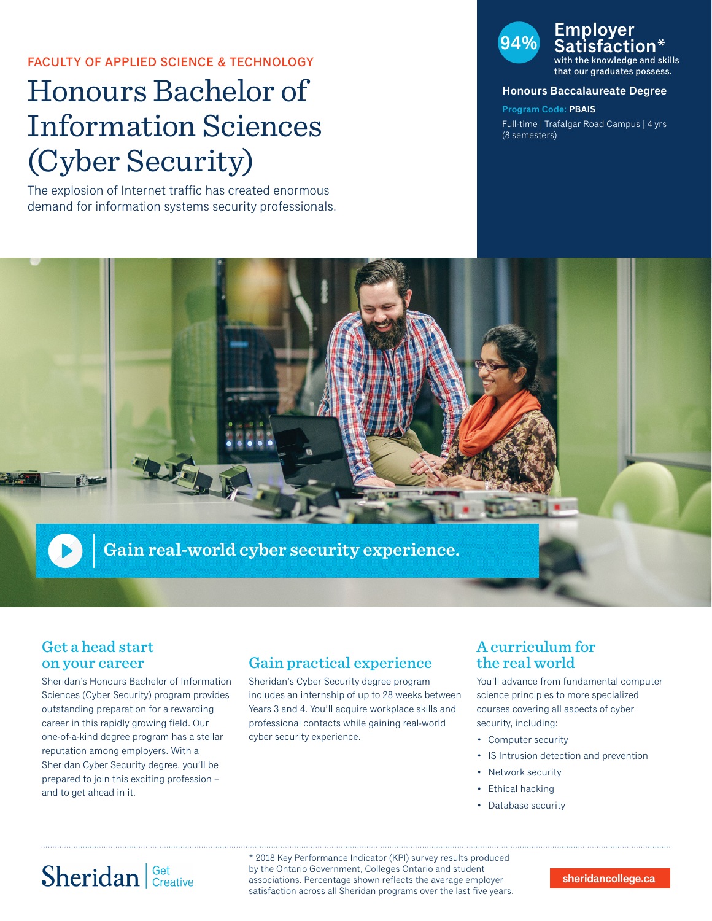### FACULTY OF APPLIED SCIENCE & TECHNOLOGY

# Honours Bachelor of Information Sciences (Cyber Security)

The explosion of Internet traffic has created enormous demand for information systems security professionals.

## **94% Employer Satisfaction\*** with the knowledge and skills

that our graduates possess.

#### **Honours Baccalaureate Degree**

**Program Code: PBAIS** Full-time | Trafalgar Road Campus | 4 yrs (8 semesters)



### Get a head start on your career

Sheridan's Honours Bachelor of Information Sciences (Cyber Security) program provides outstanding preparation for a rewarding career in this rapidly growing field. Our one-of-a-kind degree program has a stellar reputation among employers. With a Sheridan Cyber Security degree, you'll be prepared to join this exciting profession – and to get ahead in it.

## Gain practical experience

Sheridan's Cyber Security degree program includes an internship of up to 28 weeks between Years 3 and 4. You'll acquire workplace skills and professional contacts while gaining real-world cyber security experience.

## A curriculum for the real world

You'll advance from fundamental computer science principles to more specialized courses covering all aspects of cyber security, including:

- Computer security
- IS Intrusion detection and prevention
- Network security
- Ethical hacking
- Database security

# Sheridan Get Creative

\* 2018 Key Performance Indicator (KPI) survey results produced by the Ontario Government, Colleges Ontario and student associations. Percentage shown reflects the average employer satisfaction across all Sheridan programs over the last five years.